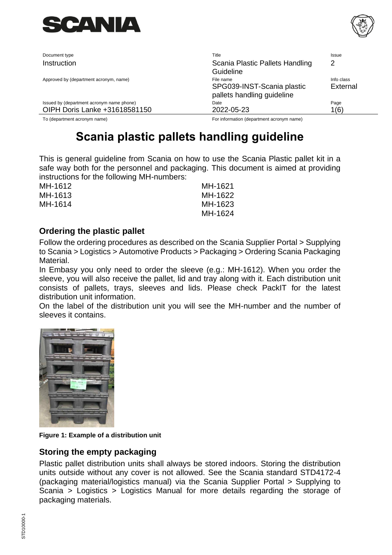

Document type **Title** Issue Issue Issue Issue Issue Issue Issue Issue Issue Issue Issue Issue Issue Issue Issue Instruction Scania Plastic Pallets Handling

Approved by (department acronym, name) and the state of the name Info class and the class of the name Info class

Issued by (department acronym name phone) and the Community Date Community Date Page OIPH Doris Lanke +31618581150 2022-05-23 1(6)

To (department acronym name) For information (department acronym name)

SPG039-INST-Scania plastic pallets handling guideline

2

External

Guideline

# **Scania plastic pallets handling guideline**

This is general guideline from Scania on how to use the Scania Plastic pallet kit in a safe way both for the personnel and packaging. This document is aimed at providing instructions for the following MH-numbers:

MH-1612 MH-1613 MH-1614 MH-1621 MH-1622 MH-1623 MH-1624

# **Ordering the plastic pallet**

Follow the ordering procedures as described on the Scania Supplier Portal > Supplying to Scania > Logistics > Automotive Products > Packaging > Ordering Scania Packaging Material.

In Embasy you only need to order the sleeve (e.g.: MH-1612). When you order the sleeve, you will also receive the pallet, lid and tray along with it. Each distribution unit consists of pallets, trays, sleeves and lids. Please check PackIT for the latest distribution unit information.

On the label of the distribution unit you will see the MH-number and the number of sleeves it contains.



**Figure 1: Example of a distribution unit**

# **Storing the empty packaging**

Plastic pallet distribution units shall always be stored indoors. Storing the distribution units outside without any cover is not allowed. See the Scania standard STD4172-4 (packaging material/logistics manual) via the Scania Supplier Portal > Supplying to Scania > Logistics > Logistics Manual for more details regarding the storage of packaging materials.

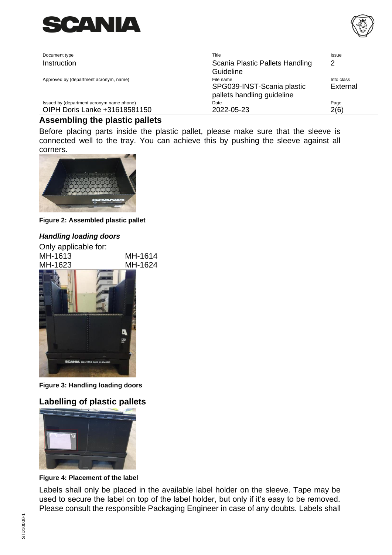



| Document type                             | Title                                                                 | <b>Issue</b>           |
|-------------------------------------------|-----------------------------------------------------------------------|------------------------|
| Instruction                               | Scania Plastic Pallets Handling<br>Guideline                          |                        |
| Approved by (department acronym, name)    | File name<br>SPG039-INST-Scania plastic<br>pallets handling guideline | Info class<br>External |
| Issued by (department acronym name phone) | Date                                                                  | Page                   |
| OIPH Doris Lanke +31618581150             | 2022-05-23                                                            | 2(6)                   |

# **Assembling the plastic pallets**

Before placing parts inside the plastic pallet, please make sure that the sleeve is connected well to the tray. You can achieve this by pushing the sleeve against all corners.



**Figure 2: Assembled plastic pallet**

#### *Handling loading doors*



**Figure 3: Handling loading doors**

# **Labelling of plastic pallets**



**Figure 4: Placement of the label**

Labels shall only be placed in the available label holder on the sleeve. Tape may be used to secure the label on top of the label holder, but only if it's easy to be removed. Please consult the responsible Packaging Engineer in case of any doubts. Labels shall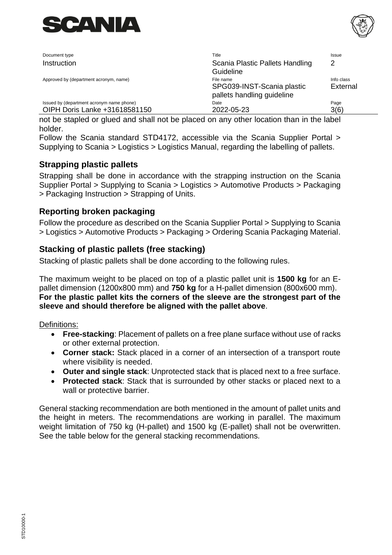



| Document type                                                              | Title                                                                 | Issue                  |
|----------------------------------------------------------------------------|-----------------------------------------------------------------------|------------------------|
| Instruction                                                                | Scania Plastic Pallets Handling<br>Guideline                          | 2                      |
| Approved by (department acronym, name)                                     | File name<br>SPG039-INST-Scania plastic<br>pallets handling guideline | Info class<br>External |
| Issued by (department acronym name phone)<br>OIPH Doris Lanke +31618581150 | Date<br>2022-05-23                                                    | Page<br>3(6)           |

not be stapled or glued and shall not be placed on any other location than in the label holder.

Follow the Scania standard STD4172, accessible via the Scania Supplier Portal > Supplying to Scania > Logistics > Logistics Manual, regarding the labelling of pallets.

## **Strapping plastic pallets**

Strapping shall be done in accordance with the strapping instruction on the Scania Supplier Portal > Supplying to Scania > Logistics > Automotive Products > Packaging > Packaging Instruction > Strapping of Units.

### **Reporting broken packaging**

Follow the procedure as described on the Scania Supplier Portal > Supplying to Scania > Logistics > Automotive Products > Packaging > Ordering Scania Packaging Material.

## **Stacking of plastic pallets (free stacking)**

Stacking of plastic pallets shall be done according to the following rules.

The maximum weight to be placed on top of a plastic pallet unit is **1500 kg** for an Epallet dimension (1200x800 mm) and **750 kg** for a H-pallet dimension (800x600 mm). **For the plastic pallet kits the corners of the sleeve are the strongest part of the sleeve and should therefore be aligned with the pallet above**.

Definitions:

- **Free-stacking**: Placement of pallets on a free plane surface without use of racks or other external protection.
- **Corner stack:** Stack placed in a corner of an intersection of a transport route where visibility is needed.
- **Outer and single stack**: Unprotected stack that is placed next to a free surface.
- **Protected stack**: Stack that is surrounded by other stacks or placed next to a wall or protective barrier.

General stacking recommendation are both mentioned in the amount of pallet units and the height in meters. The recommendations are working in parallel. The maximum weight limitation of 750 kg (H-pallet) and 1500 kg (E-pallet) shall not be overwritten. See the table below for the general stacking recommendations.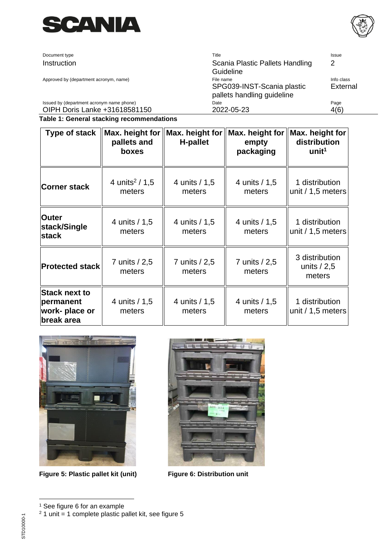

Document type **Instruction** 

Approved by (department acronym, name)

Issued by (department acronym name phone) OIPH Doris Lanke +31618581150

| Title                           | Issue      |
|---------------------------------|------------|
| Scania Plastic Pallets Handling | 2          |
| Guideline                       |            |
| File name                       | Info class |
| SPG039-INST-Scania plastic      | External   |
| pallets handling guideline      |            |
| Date                            | Page       |
| 2022-05-23                      |            |

#### **Table 1: General stacking recommendations**

| Type of stack                                                     | pallets and<br>boxes                   | Max. height for $\parallel$ Max. height for $\parallel$ Max. height for<br><b>H-pallet</b> | empty<br>packaging      | Max. height for<br>distribution<br>unit <sup>1</sup> |
|-------------------------------------------------------------------|----------------------------------------|--------------------------------------------------------------------------------------------|-------------------------|------------------------------------------------------|
| <b>Corner stack</b>                                               | 4 units <sup>2</sup> / $1,5$<br>meters | 4 units / 1,5<br>meters                                                                    | 4 units / 1,5<br>meters | 1 distribution<br>unit $/ 1, 5$ meters               |
| <b>Outer</b><br>stack/Single<br><b>stack</b>                      | 4 units / 1,5<br>meters                | 4 units / 1,5<br>meters                                                                    | 4 units / 1,5<br>meters | 1 distribution<br>unit $/ 1, 5$ meters               |
| <b>Protected stack</b>                                            | 7 units / 2,5<br>meters                | 7 units / 2,5<br>meters                                                                    | 7 units / 2,5<br>meters | 3 distribution<br>units $/ 2.5$<br>meters            |
| <b>Stack next to</b><br>permanent<br>work- place or<br>break area | 4 units / 1,5<br>meters                | 4 units / 1,5<br>meters                                                                    | 4 units / 1,5<br>meters | 1 distribution<br>unit $/ 1, 5$ meters               |



**Figure 5: Plastic pallet kit (unit) Figure 6: Distribution unit**





<sup>&</sup>lt;sup>1</sup> See figure 6 for an example

 $2$  1 unit = 1 complete plastic pallet kit, see figure 5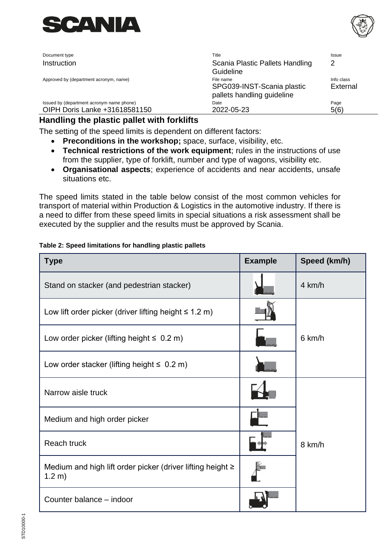



| Document type                             | Title                                                                 | Issue                  |
|-------------------------------------------|-----------------------------------------------------------------------|------------------------|
| Instruction                               | Scania Plastic Pallets Handling<br>Guideline                          | 2                      |
| Approved by (department acronym, name)    | File name<br>SPG039-INST-Scania plastic<br>pallets handling guideline | Info class<br>External |
| Issued by (department acronym name phone) | Date                                                                  | Page                   |
| OIPH Doris Lanke +31618581150             | 2022-05-23                                                            | 5(6)                   |

## **Handling the plastic pallet with forklifts**

The setting of the speed limits is dependent on different factors:

- **Preconditions in the workshop;** space, surface, visibility, etc.
- **Technical restrictions of the work equipment**; rules in the instructions of use from the supplier, type of forklift, number and type of wagons, visibility etc.
- **Organisational aspects**; experience of accidents and near accidents, unsafe situations etc.

The speed limits stated in the table below consist of the most common vehicles for transport of material within Production & Logistics in the automotive industry. If there is a need to differ from these speed limits in special situations a risk assessment shall be executed by the supplier and the results must be approved by Scania.

#### **Table 2: Speed limitations for handling plastic pallets**

| <b>Type</b>                                                               | <b>Example</b> | Speed (km/h)     |
|---------------------------------------------------------------------------|----------------|------------------|
| Stand on stacker (and pedestrian stacker)                                 |                | 4 km/h           |
| Low lift order picker (driver lifting height $\leq 1.2$ m)                |                |                  |
| Low order picker (lifting height $\leq 0.2$ m)                            |                | $6 \text{ km/h}$ |
| Low order stacker (lifting height $\leq 0.2$ m)                           |                |                  |
| Narrow aisle truck                                                        |                |                  |
| Medium and high order picker                                              |                |                  |
| Reach truck                                                               |                | 8 km/h           |
| Medium and high lift order picker (driver lifting height $\geq$<br>1.2 m) |                |                  |
| Counter balance - indoor                                                  |                |                  |